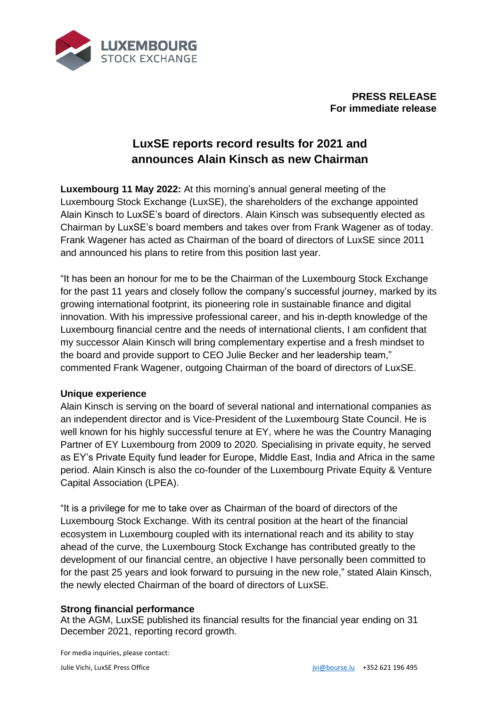

**PRESS RELEASE For immediate release**

# **LuxSE reports record results for 2021 and announces Alain Kinsch as new Chairman**

**Luxembourg 11 May 2022:** At this morning's annual general meeting of the Luxembourg Stock Exchange (LuxSE), the shareholders of the exchange appointed Alain Kinsch to LuxSE's board of directors. Alain Kinsch was subsequently elected as Chairman by LuxSE's board members and takes over from Frank Wagener as of today. Frank Wagener has acted as Chairman of the board of directors of LuxSE since 2011 and announced his plans to retire from this position last year.

"It has been an honour for me to be the Chairman of the Luxembourg Stock Exchange for the past 11 years and closely follow the company's successful journey, marked by its growing international footprint, its pioneering role in sustainable finance and digital innovation. With his impressive professional career, and his in-depth knowledge of the Luxembourg financial centre and the needs of international clients, I am confident that my successor Alain Kinsch will bring complementary expertise and a fresh mindset to the board and provide support to CEO Julie Becker and her leadership team," commented Frank Wagener, outgoing Chairman of the board of directors of LuxSE.

### **Unique experience**

Alain Kinsch is serving on the board of several national and international companies as an independent director and is Vice-President of the Luxembourg State Council. He is well known for his highly successful tenure at EY, where he was the Country Managing Partner of EY Luxembourg from 2009 to 2020. Specialising in private equity, he served as EY's Private Equity fund leader for Europe, Middle East, India and Africa in the same period. Alain Kinsch is also the co-founder of the Luxembourg Private Equity & Venture Capital Association (LPEA).

"It is a privilege for me to take over as Chairman of the board of directors of the Luxembourg Stock Exchange. With its central position at the heart of the financial ecosystem in Luxembourg coupled with its international reach and its ability to stay ahead of the curve, the Luxembourg Stock Exchange has contributed greatly to the development of our financial centre, an objective I have personally been committed to for the past 25 years and look forward to pursuing in the new role," stated Alain Kinsch, the newly elected Chairman of the board of directors of LuxSE.

### **Strong financial performance**

At the AGM, LuxSE published its financial results for the financial year ending on 31 December 2021, reporting record growth.

For media inquiries, please contact: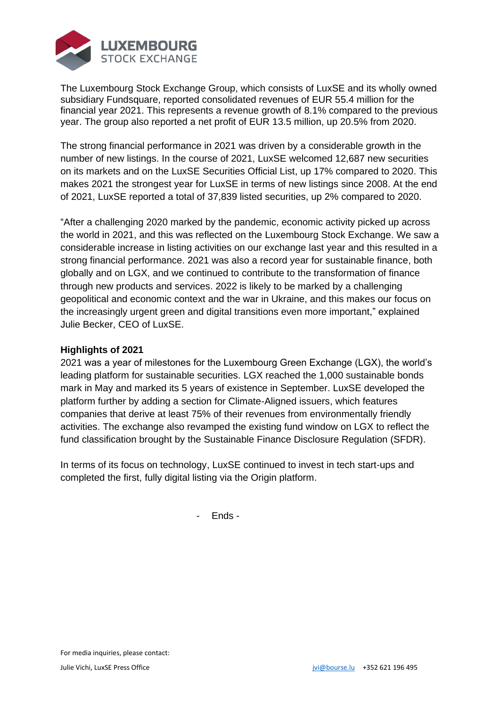

The Luxembourg Stock Exchange Group, which consists of LuxSE and its wholly owned subsidiary Fundsquare, reported consolidated revenues of EUR 55.4 million for the financial year 2021. This represents a revenue growth of 8.1% compared to the previous year. The group also reported a net profit of EUR 13.5 million, up 20.5% from 2020.

The strong financial performance in 2021 was driven by a considerable growth in the number of new listings. In the course of 2021, LuxSE welcomed 12,687 new securities on its markets and on the LuxSE Securities Official List, up 17% compared to 2020. This makes 2021 the strongest year for LuxSE in terms of new listings since 2008. At the end of 2021, LuxSE reported a total of 37,839 listed securities, up 2% compared to 2020.

"After a challenging 2020 marked by the pandemic, economic activity picked up across the world in 2021, and this was reflected on the Luxembourg Stock Exchange. We saw a considerable increase in listing activities on our exchange last year and this resulted in a strong financial performance. 2021 was also a record year for sustainable finance, both globally and on LGX, and we continued to contribute to the transformation of finance through new products and services. 2022 is likely to be marked by a challenging geopolitical and economic context and the war in Ukraine, and this makes our focus on the increasingly urgent green and digital transitions even more important," explained Julie Becker, CEO of LuxSE.

## **Highlights of 2021**

2021 was a year of milestones for the Luxembourg Green Exchange (LGX), the world's leading platform for sustainable securities. LGX reached the 1,000 sustainable bonds mark in May and marked its 5 years of existence in September. LuxSE developed the platform further by adding a section for Climate-Aligned issuers, which features companies that derive at least 75% of their revenues from environmentally friendly activities. The exchange also revamped the existing fund window on LGX to reflect the fund classification brought by the Sustainable Finance Disclosure Regulation (SFDR).

In terms of its focus on technology, LuxSE continued to invest in tech start-ups and completed the first, fully digital listing via the Origin platform.

- Ends -